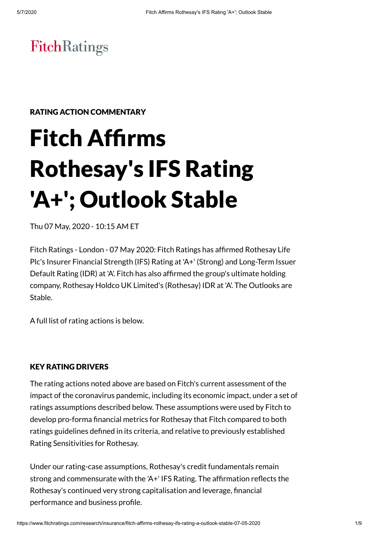# **FitchRatings**

#### RATING ACTION COMMENTARY

# Fitch Affirms Rothesay's IFS Rating 'A+'; Outlook Stable

Thu 07 May, 2020 - 10:15 AM ET

Fitch Ratings - London - 07 May 2020: Fitch Ratings has affirmed Rothesay Life Plc's Insurer Financial Strength (IFS) Rating at 'A+' (Strong) and Long-Term Issuer Default Rating (IDR) at 'A'. Fitch has also affirmed the group's ultimate holding company, Rothesay Holdco UK Limited's (Rothesay) IDR at 'A'. The Outlooks are Stable.

A full list of rating actions is below.

#### KEY RATING DRIVERS

The rating actions noted above are based on Fitch's current assessment of the impact of the coronavirus pandemic, including its economic impact, under a set of ratings assumptions described below. These assumptions were used by Fitch to develop pro-forma financial metrics for Rothesay that Fitch compared to both ratings guidelines defined in its criteria, and relative to previously established Rating Sensitivities for Rothesay.

Under our rating-case assumptions, Rothesay's credit fundamentals remain strong and commensurate with the 'A+' IFS Rating. The affirmation reflects the Rothesay's continued very strong capitalisation and leverage, financial performance and business profile.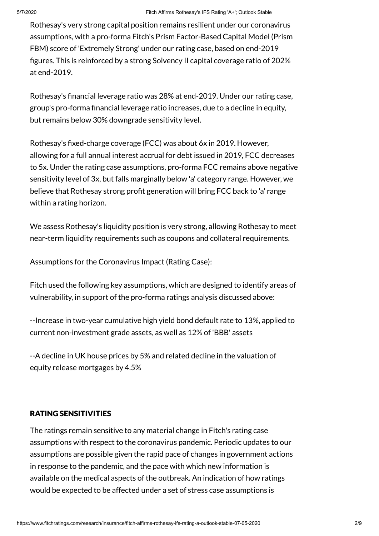Rothesay's very strong capital position remains resilient under our coronavirus assumptions, with a pro-forma Fitch's Prism Factor-Based Capital Model (Prism FBM) score of 'Extremely Strong' under our rating case, based on end-2019 figures. This is reinforced by a strong Solvency II capital coverage ratio of 202% at end-2019.

Rothesay's financial leverage ratio was 28% at end-2019. Under our rating case, group's pro-forma financial leverage ratio increases, due to a decline in equity, but remains below 30% downgrade sensitivity level.

Rothesay's fixed-charge coverage (FCC) was about 6x in 2019. However, allowing for a full annual interest accrual for debt issued in 2019, FCC decreases to 5x. Under the rating case assumptions, pro-forma FCC remains above negative sensitivity level of 3x, but falls marginally below 'a' category range. However, we believe that Rothesay strong profit generation will bring FCC back to 'a' range within a rating horizon.

We assess Rothesay's liquidity position is very strong, allowing Rothesay to meet near-term liquidity requirements such as coupons and collateral requirements.

Assumptions for the Coronavirus Impact (Rating Case):

Fitch used the following key assumptions, which are designed to identify areas of vulnerability, in support of the pro-forma ratings analysis discussed above:

--Increase in two-year cumulative high yield bond default rate to 13%, applied to current non-investment grade assets, as well as 12% of 'BBB' assets

--A decline in UK house prices by 5% and related decline in the valuation of equity release mortgages by 4.5%

## RATING SENSITIVITIES

The ratings remain sensitive to any material change in Fitch's rating case assumptions with respect to the coronavirus pandemic. Periodic updates to our assumptions are possible given the rapid pace of changes in government actions in response to the pandemic, and the pace with which new information is available on the medical aspects of the outbreak. An indication of how ratings would be expected to be affected under a set of stress case assumptions is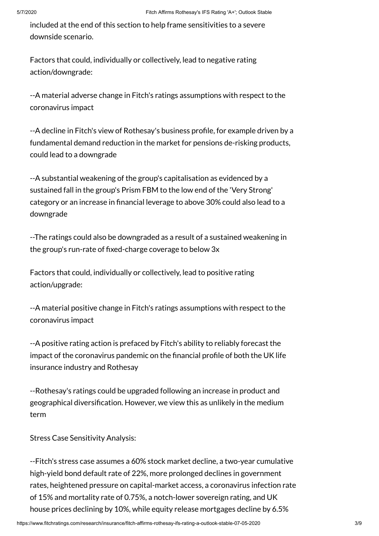included at the end of this section to help frame sensitivities to a severe downside scenario.

Factors that could, individually or collectively, lead to negative rating action/downgrade:

--A material adverse change in Fitch's ratings assumptions with respect to the coronavirus impact

--A decline in Fitch's view of Rothesay's business profile, for example driven by a fundamental demand reduction in the market for pensions de-risking products, could lead to a downgrade

--A substantial weakening of the group's capitalisation as evidenced by a sustained fall in the group's Prism FBM to the low end of the 'Very Strong' category or an increase in financial leverage to above 30% could also lead to a downgrade

--The ratings could also be downgraded as a result of a sustained weakening in the group's run-rate of fixed-charge coverage to below 3x

Factors that could, individually or collectively, lead to positive rating action/upgrade:

--A material positive change in Fitch's ratings assumptions with respect to the coronavirus impact

--A positive rating action is prefaced by Fitch's ability to reliably forecast the impact of the coronavirus pandemic on the financial profile of both the UK life insurance industry and Rothesay

--Rothesay's ratings could be upgraded following an increase in product and geographical diversification. However, we view this as unlikely in the medium term

Stress Case Sensitivity Analysis:

--Fitch's stress case assumes a 60% stock market decline, a two-year cumulative high-yield bond default rate of 22%, more prolonged declines in government rates, heightened pressure on capital-market access, a coronavirus infection rate of 15% and mortality rate of 0.75%, a notch-lower sovereign rating, and UK house prices declining by 10%, while equity release mortgages decline by 6.5%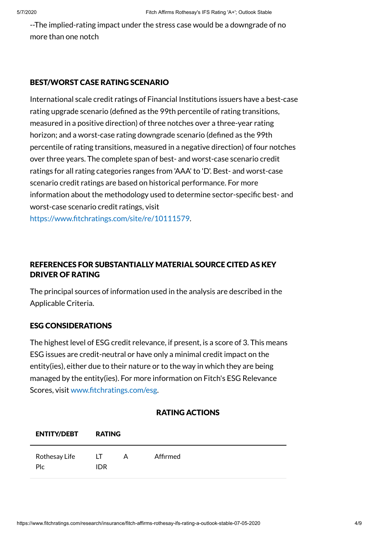--The implied-rating impact under the stress case would be a downgrade of no more than one notch

#### BEST/WORST CASE RATING SCENARIO

International scale credit ratings of Financial Institutions issuers have a best-case rating upgrade scenario (defined as the 99th percentile of rating transitions, measured in a positive direction) of three notches over a three-year rating horizon; and a worst-case rating downgrade scenario (defined as the 99th percentile of rating transitions, measured in a negative direction) of four notches over three years. The complete span of best- and worst-case scenario credit ratings for all rating categories ranges from 'AAA' to 'D'. Best- and worst-case scenario credit ratings are based on historical performance. For more information about the methodology used to determine sector-specific best- and worst-case scenario credit ratings, visit

<https://www.fitchratings.com/site/re/10111579>.

# REFERENCES FOR SUBSTANTIALLY MATERIAL SOURCE CITED AS KEY DRIVER OF RATING

The principal sources of information used in the analysis are described in the Applicable Criteria.

## ESG CONSIDERATIONS

The highest level of ESG credit relevance, if present, is a score of 3. This means ESG issues are credit-neutral or have only a minimal credit impact on the entity(ies), either due to their nature or to the way in which they are being managed by the entity(ies). For more information on Fitch's ESG Relevance Scores, visit [www.fitchratings.com/esg.](http://www.fitchratings.com/esg)

## RATING ACTIONS

| <b>ENTITY/DEBT</b>    | <b>RATING</b> |  |          |  |  |
|-----------------------|---------------|--|----------|--|--|
| Rothesay Life<br>Plc. | LT A<br>IDR.  |  | Affirmed |  |  |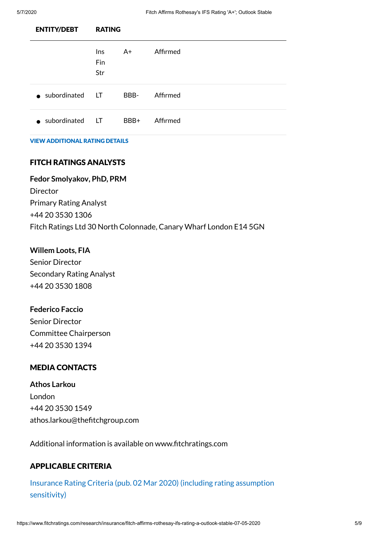| LIVIII I/VLDI     | <b>DELINA</b>             |      |          |  |
|-------------------|---------------------------|------|----------|--|
|                   | <b>l</b> ns<br>Fin<br>Str | $A+$ | Affirmed |  |
| • subordinated LT |                           | BBB- | Affirmed |  |
| • subordinated LT |                           | BBB+ | Affirmed |  |

#### VIEW ADDITIONAL RATING DETAILS

ENTITY/DEBT BATING

#### FITCH RATINGS ANALYSTS

#### **Fedor Smolyakov, PhD, PRM** Director

Primary Rating Analyst +44 20 3530 1306 Fitch Ratings Ltd 30 North Colonnade, Canary Wharf London E14 5GN

#### **Willem Loots, FIA**

Senior Director Secondary Rating Analyst +44 20 3530 1808

#### **Federico Faccio**

Senior Director Committee Chairperson +44 20 3530 1394

## MEDIA CONTACTS

**Athos Larkou** London +44 20 3530 1549 athos.larkou@thefitchgroup.com

Additional information is available on www.fitchratings.com

## APPLICABLE CRITERIA

Insurance Rating Criteria (pub. 02 Mar 2020) (including rating [assumption](https://www.fitchratings.com/research/insurance/insurance-rating-criteria-02-03-2020) sensitivity)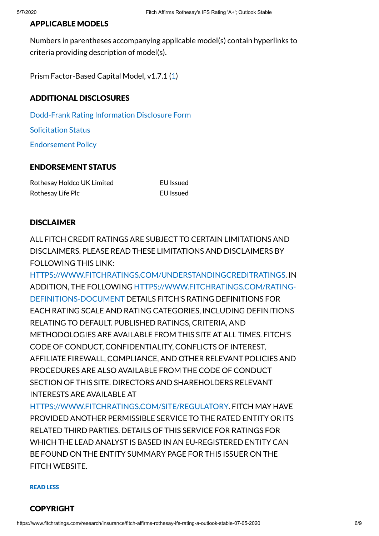#### APPLICABLE MODELS

Numbers in parentheses accompanying applicable model(s) contain hyperlinks to criteria providing description of model(s).

Prism Factor-Based Capital Model, v1.7.1 [\(1\)](https://www.fitchratings.com/site/re/969155)

## ADDITIONAL DISCLOSURES

[Dodd-Frank](https://www.fitchratings.com/research/insurance/fitch-affirms-rothesay-ifs-rating-a-outlook-stable-07-05-2020/dodd-frank-disclosure) Rating Information Disclosure Form [Solicitation](#page-8-0) Status [Endorsement](https://www.fitchratings.com/regulatory) Policy

## ENDORSEMENT STATUS

| Rothesay Holdco UK Limited | EU Issued |
|----------------------------|-----------|
| Rothesay Life Plc          | EU Issued |

#### DISCLAIMER

ALL FITCH CREDIT RATINGS ARE SUBJECT TO CERTAIN LIMITATIONS AND DISCLAIMERS. PLEASE READ THESE LIMITATIONS AND DISCLAIMERS BY FOLLOWING THIS LINK:

[HTTPS://WWW.FITCHRATINGS.COM/UNDERSTANDINGCREDITRATINGS](https://www.fitchratings.com/UNDERSTANDINGCREDITRATINGS). IN ADDITION, THE FOLLOWING [HTTPS://WWW.FITCHRATINGS.COM/RATING-](https://www.fitchratings.com/rating-definitions-document)DEFINITIONS-DOCUMENT DETAILS FITCH'S RATING DEFINITIONS FOR EACH RATING SCALE AND RATING CATEGORIES, INCLUDING DEFINITIONS RELATING TO DEFAULT. PUBLISHED RATINGS, CRITERIA, AND METHODOLOGIES ARE AVAILABLE FROM THIS SITE AT ALL TIMES. FITCH'S CODE OF CONDUCT, CONFIDENTIALITY, CONFLICTS OF INTEREST, AFFILIATE FIREWALL, COMPLIANCE, AND OTHER RELEVANT POLICIES AND PROCEDURES ARE ALSO AVAILABLE FROM THE CODE OF CONDUCT SECTION OF THIS SITE. DIRECTORS AND SHAREHOLDERS RELEVANT INTERESTS ARE AVAILABLE AT

[HTTPS://WWW.FITCHRATINGS.COM/SITE/REGULATORY](https://www.fitchratings.com/site/regulatory). FITCH MAY HAVE PROVIDED ANOTHER PERMISSIBLE SERVICE TO THE RATED ENTITY OR ITS RELATED THIRD PARTIES. DETAILS OF THIS SERVICE FOR RATINGS FOR WHICH THE LEAD ANALYST IS BASED IN AN EU-REGISTERED ENTITY CAN BE FOUND ON THE ENTITY SUMMARY PAGE FOR THIS ISSUER ON THE FITCH WEBSITE.

#### READ LESS

#### COPYRIGHT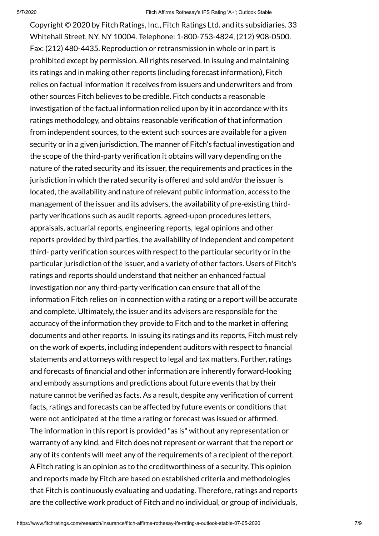Copyright © 2020 by Fitch Ratings, Inc., Fitch Ratings Ltd. and its subsidiaries. 33 Whitehall Street, NY, NY 10004. Telephone: 1-800-753-4824, (212) 908-0500. Fax: (212) 480-4435. Reproduction or retransmission in whole or in part is prohibited except by permission. All rights reserved. In issuing and maintaining its ratings and in making other reports (including forecast information), Fitch relies on factual information it receives from issuers and underwriters and from other sources Fitch believes to be credible. Fitch conducts a reasonable investigation of the factual information relied upon by it in accordance with its ratings methodology, and obtains reasonable verification of that information from independent sources, to the extent such sources are available for a given security or in a given jurisdiction. The manner of Fitch's factual investigation and the scope of the third-party verification it obtains will vary depending on the nature of the rated security and its issuer, the requirements and practices in the jurisdiction in which the rated security is offered and sold and/or the issuer is located, the availability and nature of relevant public information, access to the management of the issuer and its advisers, the availability of pre-existing thirdparty verifications such as audit reports, agreed-upon procedures letters, appraisals, actuarial reports, engineering reports, legal opinions and other reports provided by third parties, the availability of independent and competent third- party verification sources with respect to the particular security or in the particular jurisdiction of the issuer, and a variety of other factors. Users of Fitch's ratings and reports should understand that neither an enhanced factual investigation nor any third-party verification can ensure that all of the information Fitch relies on in connection with a rating or a report will be accurate and complete. Ultimately, the issuer and its advisers are responsible for the accuracy of the information they provide to Fitch and to the market in offering documents and other reports. In issuing its ratings and its reports, Fitch must rely on the work of experts, including independent auditors with respect to financial statements and attorneys with respect to legal and tax matters. Further, ratings and forecasts of financial and other information are inherently forward-looking and embody assumptions and predictions about future events that by their nature cannot be verified as facts. As a result, despite any verification of current facts, ratings and forecasts can be affected by future events or conditions that were not anticipated at the time a rating or forecast was issued or affirmed. The information in this report is provided "as is" without any representation or warranty of any kind, and Fitch does not represent or warrant that the report or any of its contents will meet any of the requirements of a recipient of the report. A Fitch rating is an opinion as to the creditworthiness of a security. This opinion and reports made by Fitch are based on established criteria and methodologies that Fitch is continuously evaluating and updating. Therefore, ratings and reports are the collective work product of Fitch and no individual, or group of individuals,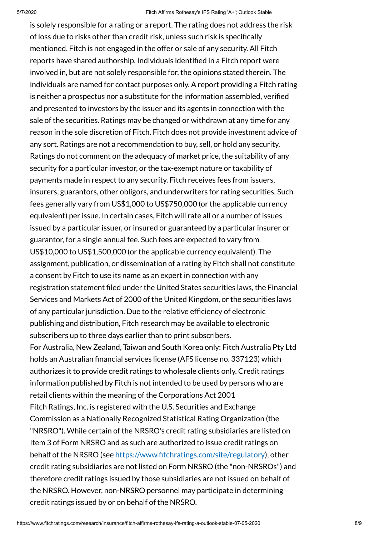is solely responsible for a rating or a report. The rating does not address the risk of loss due to risks other than credit risk, unless such risk is specifically mentioned. Fitch is not engaged in the offer or sale of any security. All Fitch reports have shared authorship. Individuals identified in a Fitch report were involved in, but are not solely responsible for, the opinions stated therein. The individuals are named for contact purposes only. A report providing a Fitch rating is neither a prospectus nor a substitute for the information assembled, verified and presented to investors by the issuer and its agents in connection with the sale of the securities. Ratings may be changed or withdrawn at any time for any reason in the sole discretion of Fitch. Fitch does not provide investment advice of any sort. Ratings are not a recommendation to buy, sell, or hold any security. Ratings do not comment on the adequacy of market price, the suitability of any security for a particular investor, or the tax-exempt nature or taxability of payments made in respect to any security. Fitch receives fees from issuers, insurers, guarantors, other obligors, and underwriters for rating securities. Such fees generally vary from US\$1,000 to US\$750,000 (or the applicable currency equivalent) per issue. In certain cases, Fitch will rate all or a number of issues issued by a particular issuer, or insured or guaranteed by a particular insurer or guarantor, for a single annual fee. Such fees are expected to vary from US\$10,000 to US\$1,500,000 (or the applicable currency equivalent). The assignment, publication, or dissemination of a rating by Fitch shall not constitute a consent by Fitch to use its name as an expert in connection with any registration statement filed under the United States securities laws, the Financial Services and Markets Act of 2000 of the United Kingdom, or the securities laws of any particular jurisdiction. Due to the relative efficiency of electronic publishing and distribution, Fitch research may be available to electronic subscribers up to three days earlier than to print subscribers. For Australia, New Zealand, Taiwan and South Korea only: Fitch Australia Pty Ltd holds an Australian financial services license (AFS license no. 337123) which authorizes it to provide credit ratings to wholesale clients only. Credit ratings information published by Fitch is not intended to be used by persons who are retail clients within the meaning of the Corporations Act 2001 Fitch Ratings, Inc. is registered with the U.S. Securities and Exchange Commission as a Nationally Recognized Statistical Rating Organization (the "NRSRO"). While certain of the NRSRO's credit rating subsidiaries are listed on Item 3 of Form NRSRO and as such are authorized to issue credit ratings on behalf of the NRSRO (see <https://www.fitchratings.com/site/regulatory>), other credit rating subsidiaries are not listed on Form NRSRO (the "non-NRSROs") and therefore credit ratings issued by those subsidiaries are not issued on behalf of the NRSRO. However, non-NRSRO personnel may participate in determining credit ratings issued by or on behalf of the NRSRO.